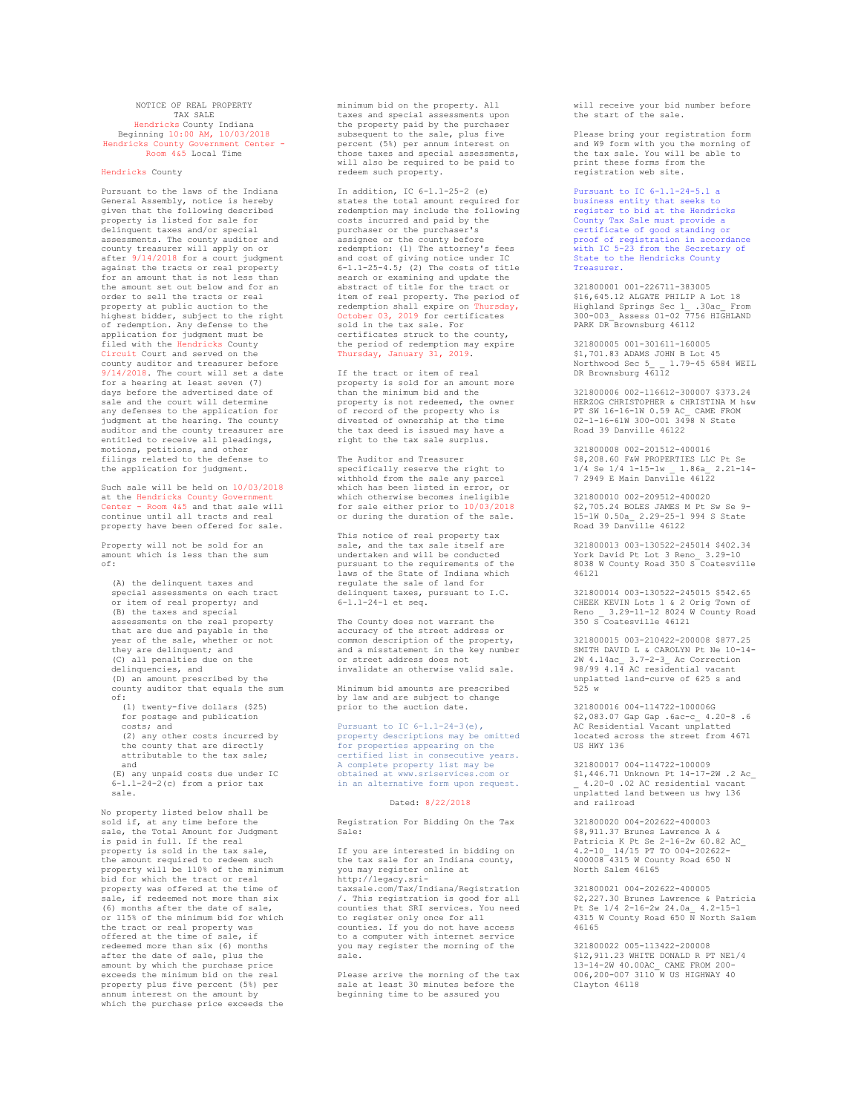## NOTICE OF REAL PROPERTY TAX SALE Hendricks County Indiana Beginning 10:00 AM, 10/03/2018 Hendricks County Government Center - Room 4&5 Local Time

## Hendricks County

Pursuant to the laws of the Indiana General Assembly, notice is hereby given that the following described property is listed for sale for delinquent taxes and/or special assessments. The county auditor and county treasurer will apply on or after 9/14/2018 for a court judgment against the tracts or real property for an amount that is not less than the amount set out below and for an order to sell the tracts or real property at public auction to the highest bidder, subject to the right of redemption. Any defense to the application for judgment must be filed with the Hendricks County Circuit Court and served on the county auditor and treasurer before 9/14/2018. The court will set a date for a hearing at least seven (7) days before the advertised date of sale and the court will determine any defenses to the application for judgment at the hearing. The county auditor and the county treasurer are entitled to receive all pleadings, motions, petitions, and other filings related to the defense to the application for judgment.

Such sale will be held on 10/03/2018 at the Hendricks County Government Center - Room 4&5 and that sale will continue until all tracts and real property have been offered for sale.

Property will not be sold for an amount which is less than the sum of:

(A) the delinquent taxes and special assessments on each tract or item of real property; and (B) the taxes and special assessments on the real property that are due and payable in the year of the sale, whether or not they are delinquent; and (C) all penalties due on the delinquencies, and (D) an amount prescribed by the county auditor that equals the sum of: (1) twenty-five dollars (\$25) for postage and publication

costs; and (2) any other costs incurred by the county that are directly attributable to the tax sale; and

(E) any unpaid costs due under IC 6-1.1-24-2(c) from a prior tax sale.

No property listed below shall be sold if, at any time before the sale, the Total Amount for Judgment is paid in full. If the real property is sold in the tax sale, .<br>the amount required to redeem such property will be 110% of the minimum bid for which the tract or real property was offered at the time of sale, if redeemed not more than six (6) months after the date of sale, or 115% of the minimum bid for which the tract or real property was offered at the time of sale, if redeemed more than six (6) months after the date of sale, plus the amount by which the purchase price exceeds the minimum bid on the real property plus five percent (5%) per annum interest on the amount by which the purchase price exceeds the

minimum bid on the property. All taxes and special assessments upon the property paid by the purchaser subsequent to the sale, plus five percent (5%) per annum interest on those taxes and special assessments, will also be required to be paid to redeem such property.

In addition, IC 6-1.1-25-2 (e) states the total amount required for redemption may include the following costs incurred and paid by the purchaser or the purchaser's assignee or the county before redemption: (1) The attorney's fees and cost of giving notice under IC  $6-1.1-25-4.5$ ; (2) The costs of title search or examining and update the abstract of title for the tract or item of real property. The period of redemption shall expire on Thursday, October 03, 2019 for certificates sold in the tax sale. For certificates struck to the county, the period of redemption may expire Thursday, January 31, 2019.

If the tract or item of real property is sold for an amount more than the minimum bid and the property is not redeemed, the owner of record of the property who is divested of ownership at the time the tax deed is issued may have a right to the tax sale surplus.

The Auditor and Treasurer specifically reserve the right to withhold from the sale any parcel which has been listed in error, or which otherwise becomes ineligible for sale either prior to 10/03/2018 or during the duration of the sale.

This notice of real property tax sale, and the tax sale itself are undertaken and will be conducted pursuant to the requirements of the laws of the State of Indiana which regulate the sale of land for delinquent taxes, pursuant to I.C. 6-1.1-24-1 et seq.

The County does not warrant the accuracy of the street address or common description of the property, and a misstatement in the key number or street address does not invalidate an otherwise valid sale.

Minimum bid amounts are prescribed by law and are subject to change prior to the auction date.

Pursuant to IC 6-1.1-24-3(e), property descriptions may be omitted for properties appearing on the certified list in consecutive years. A complete property list may be obtained at www.sriservices.com or in an alternative form upon request.

## Dated: 8/22/2018

Registration For Bidding On the Tax Sale:

If you are interested in bidding on the tax sale for an Indiana county, you may register online at http://legacy.sritaxsale.com/Tax/Indiana/Registration /. This registration is good for all counties that SRI services. You need to register only once for all counties. If you do not have access to a computer with internet service you may register the morning of the sale.

Please arrive the morning of the tax sale at least 30 minutes before the beginning time to be assured you

will receive your bid number before the start of the sale.

Please bring your registration form and W9 form with you the morning of the tax sale. You will be able to print these forms from the registration web site.

Pursuant to IC  $6-1$   $1-24-5$  1 a business entity that seeks to register to bid at the Hendricks County Tax Sale must provide a certificate of good standing or proof of registration in accordance with IC 5-23 from the Secretary of State to the Hendricks County Treasurer.

321800001 001-226711-383005 \$16,645.12 ALGATE PHILIP A Lot 18 Highland Springs Sec 1\_ .30ac\_ From 300-003\_ Assess 01-02 7756 HIGHLAND PARK DR Brownsburg 46112

321800005 001-301611-160005 \$1,701.83 ADAMS JOHN B Lot 45 Northwood Sec 5\_ \_ 1.79-45 6584 WEIL DR Brownsburg 46112

321800006 002-116612-300007 \$373.24 HERZOG CHRISTOPHER & CHRISTINA M h&w PT SW 16-16-1W 0.59 AC\_ CAME FROM 02-1-16-61W 300-001 3498 N State Road 39 Danville 46122

321800008 002-201512-400016 \$8,208.60 F&W PROPERTIES LLC Pt Se 1/4 Se 1/4 1-15-1w \_ 1.86a\_ 2.21-14- 7 2949 E Main Danville 46122

321800010 002-209512-400020 \$2,705.24 BOLES JAMES M Pt Sw Se 9- 15-1W 0.50a\_ 2.29-25-1 994 S State Road 39 Dan $\overline{v}$ ille 46122

321800013 003-130522-245014 \$402.34 York David Pt Lot 3 Reno\_ 3.29-10 8038 W County Road 350 S Coatesville 46121

321800014 003-130522-245015 \$542.65 CHEEK KEVIN Lots 1 & 2 Orig Town of Reno \_ 3.29-11-12 8024 W County Road 350 S Coatesville 46121

321800015 003-210422-200008 \$877.25 SEIGGGGIS GOS EIGHEE EGGGGG QOWY.ES 2W 4.14ac\_ 3.7-2-3\_ Ac Correction 98/99 4.14 AC residential vacant unplatted land-curve of 625 s and 525 w

321800016 004-114722-100006G \$2,083.07 Gap Gap .6ac-c\_ 4.20-8 .6 AC Residential Vacant unplatted located across the street from 4671 US HWY 136

321800017 004-114722-100009 \$1,446.71 Unknown Pt 14-17-2W .2 Ac\_ \_ 4.20-0 .02 AC residential vacant unplatted land between us hwy 136 and railroad

321800020 004-202622-400003 \$8,911.37 Brunes Lawrence A & Patricia K Pt Se 2-16-2w 60.82 AC\_ 4.2-10\_ 14/15 PT TO 004-202622- 400008 4315 W County Road 650 N North Salem 46165

321800021 004-202622-400005 \$2,227.30 Brunes Lawrence & Patricia Pt Se 1/4 2-16-2w 24.0a\_ 4.2-15-1 4315 W County Road 650 N North Salem 46165

321800022 005-113422-200008 \$12,911.23 WHITE DONALD R PT NE1/4 13-14-2W 40.00AC\_ CAME FROM 200- 006,200-007 3110 W US HIGHWAY 40 Clayton 46118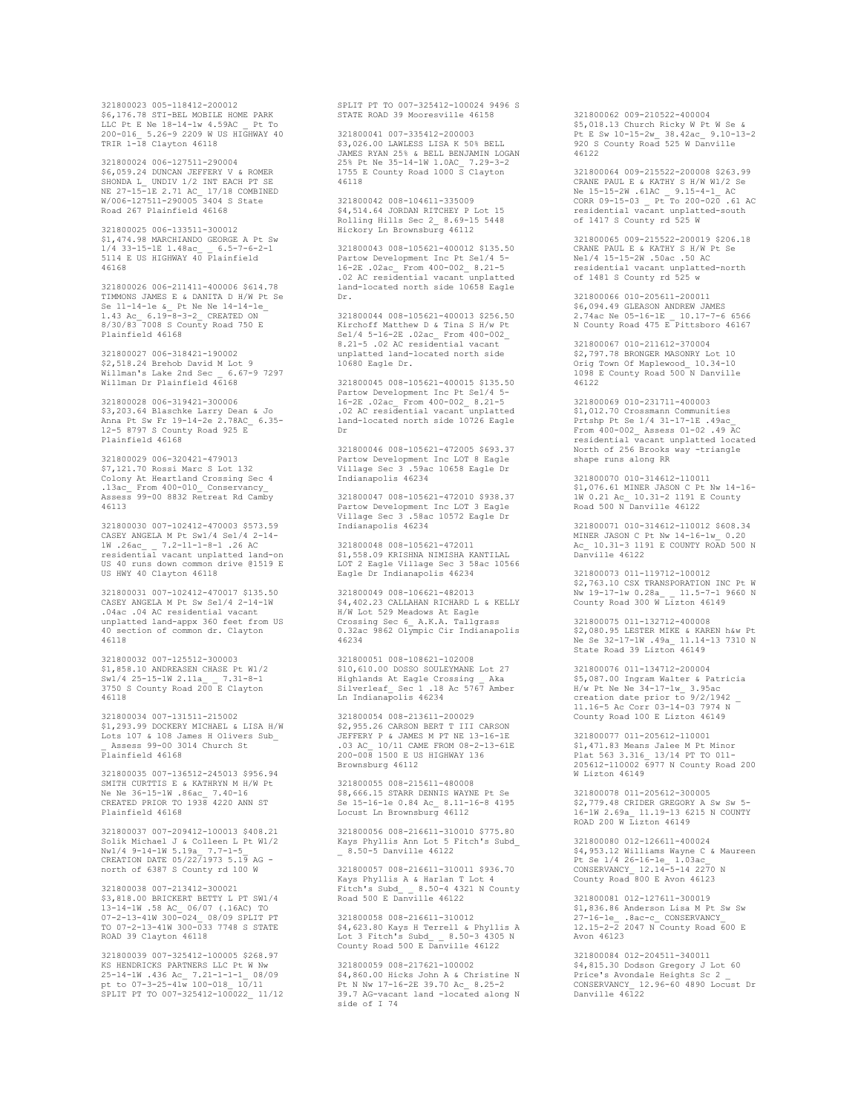321800023 005-118412-200012 \$6,176.78 STI-BEL MOBILE HOME PARK LLC Pt E Ne 18-14-1w 4.59AC \_ Pt To 200-016\_ 5.26-9 2209 W US HIGHWAY 40 TRIR 1-18 Clayton 46118

321800024 006-127511-290004 \$6,059.24 DUNCAN JEFFERY V & ROMER SHONDA L\_ UNDIV 1/2 INT EACH PT SE NE 27-15-1E 2.71 AC\_ 17/18 COMBINED W/006-127511-290005 3404 S State Road 267 Plainfield 46168

321800025 006-133511-300012 \$1,474.98 MARCHIANDO GEORGE A Pt Sw 1/4 33-15-1E 1.48ac\_ \_ 6.5-7-6-2-1 5114 E US HIGHWAY 40 Plainfield 46168

321800026 006-211411-400006 \$614.78 TIMMONS JAMES E & DANITA D H/W Pt Se Se 11-14-1e &\_ Pt Ne Ne 14-14-1e\_<br>1.43 Ac\_ 6.19-8-3-2\_ CREATED ON<br>8/30/83 7008 S County Road 750 E Plainfield 46168

321800027 006-318421-190002 \$2,518.24 Brehob David M Lot 9 Willman's Lake 2nd Sec \_ 6.67-9 7297 Willman Dr Plainfield 46168

321800028 006-319421-300006 \$3,203.64 Blaschke Larry Dean & Jo Anna Pt Sw Fr 19-14-2e 2.78AC\_ 6.35- 12-5 8797 S County Road 925 E Plainfield 46168

321800029 006-320421-479013 \$7,121.70 Rossi Marc S Lot 132 Colony At Heartland Crossing Sec 4 .13ac\_ From 400-010\_ Conservancy\_ Assess 99-00 8832 Retreat Rd Camby 46113

321800030 007-102412-470003 \$573.59 CASEY ANGELA M Pt Sw1/4 Se1/4 2-14- 1W .26ac\_ \_ 7.2-11-1-8-1 .26 AC residential vacant unplatted land-on US 40 runs down common drive @1519 E US HWY 40 Clayton 46118

321800031 007-102412-470017 \$135.50 CASEY ANGELA M Pt Sw Se1/4 2-14-1W .04ac .04 AC residential vacant unplatted land-appx 360 feet from US 40 section of common dr. Clayton 46118

321800032 007-125512-300003 \$1,858.10 ANDREASEN CHASE Pt W1/2 Sw1/4 25-15-1W 2.11a\_ \_ 7.31-8-1 3750 S County Road 200 E Clayton 46118

321800034 007-131511-215002 \$1,293.99 DOCKERY MICHAEL & LISA H/W Lots 107 & 108 James H Olivers Sub\_ \_ Assess 99-00 3014 Church St Plainfield 46168

321800035 007-136512-245013 \$956.94 SMITH CURTTIS E & KATHRYN M H/W Pt Ne Ne 36-15-1W .86ac\_ 7.40-16 CREATED PRIOR TO 1938 4220 ANN ST Plainfield 46168

321800037 007-209412-100013 \$408.21 Solik Michael J & Colleen L Pt W1/2 Nw1/4 9-14-1W 5.19a\_ 7.7-1-5\_ CREATION DATE 05/22/1973 5.19 AG north of 6387 S County rd 100 W

321800038 007-213412-300021 \$3,818.00 BRICKERT BETTY L PT SW1/4 13-14-1W .58 AC\_ 06/07 (.16AC) TO 07-2-13-41W 300-024\_ 08/09 SPLIT PT TO 07-2-13-41W 300-033 7748 S STATE ROAD 39 Clayton 46118

321800039 007-325412-100005 \$268.97 SZIOOOOSS OOT SZSAIZ 10000S QZOO. 25-14-1W .436 Ac\_ 7.21-1-1-1\_ 08/09 pt to 07-3-25-41w 100-018\_ 10/11 SPLIT PT TO 007-325412-100022\_ 11/12 SPLIT PT TO 007-325412-100024 9496 S STATE ROAD 39 Mooresville 46158

321800041 007-335412-200003 \$3,026.00 LAWLESS LISA K 50% BELL JAMES RYAN 25% & BELL BENJAMIN LOGAN 25% Pt Ne 35-14-1W 1.0AC\_ 7.29-3-2 1755 E County Road 1000 S Clayton 46118

321800042 008-104611-335009 \$4,514.64 JORDAN RITCHEY P Lot 15 Rolling Hills Sec 2\_ 8.69-15 5448 Hickory Ln Brownsburg 46112

321800043 008-105621-400012 \$135.50 Partow Development Inc Pt Se1/4 5- 16-2E .02ac\_ From 400-002\_ 8.21-5 .02 AC residential vacant unplatted land-located north side 10658 Eagle Dr.

321800044 008-105621-400013 \$256.50 Kirchoff Matthew D & Tina S H/w Pt Se1/4 5-16-2E .02ac\_ From 400-002\_ 8.21-5 .02 AC residential vacant unplatted land-located north side 10680 Eagle Dr.

321800045 008-105621-400015 \$135.50 Partow Development Inc Pt Se1/4 5- 16-2E .02ac\_ From 400-002\_ 8.21-5 .02 AC residential vacant unplatted land-located north side 10726 Eagle Dr

321800046 008-105621-472005 \$693.37 Partow Development Inc LOT 8 Eagle Village Sec 3 .59ac 10658 Eagle Dr Indianapolis 46234

321800047 008-105621-472010 \$938.37 Partow Development Inc LOT 3 Eagle Village Sec 3 .58ac 10572 Eagle Dr Indianapolis 46234

321800048 008-105621-472011 \$1,558.09 KRISHNA NIMISHA KANTILAL LOT 2 Eagle Village Sec 3 58ac 10566 Eagle Dr Indianapolis 46234

321800049 008-106621-482013 \$4,402.23 CALLAHAN RICHARD L & KELLY H/W Lot 529 Meadows At Eagle Crossing Sec 6\_ A.K.A. Tallgrass 0.32ac 9862 Olympic Cir Indianapolis 46234

321800051 008-108621-102008 \$10,610.00 DOSSO SOULEYMANE Lot 27 Highlands At Eagle Crossing \_ Aka Silverleaf\_ Sec 1 .18 Ac 5767 Amber Ln Indianapolis 46234

321800054 008-213611-200029 \$2,955.26 CARSON BERT T III CARSON JEFFERY P & JAMES M PT NE 13-16-1E .03 AC\_ 10/11 CAME FROM 08-2-13-61E 200-008 1500 E US HIGHWAY 136 Brownsburg 46112

321800055 008-215611-480008 \$8,666.15 STARR DENNIS WAYNE Pt Se Se 15-16-1e 0.84 Ac\_ 8.11-16-8 4195 Locust Ln Brownsburg 46112

321800056 008-216611-310010 \$775.80 Kays Phyllis Ann Lot 5 Fitch's Subd\_ \_ 8.50-5 Danville 46122

321800057 008-216611-310011 \$936.70 Kays Phyllis A & Harlan T Lot 4 Fitch's Subd\_ \_ 8.50-4 4321 N County Road 500 E Danville 46122

321800058 008-216611-310012 \$4,623.80 Kays H Terrell & Phyllis A Lot 3 Fitch's Subd\_ \_ 8.50-3 4305 N County Road 500 E Danville 46122

321800059 008-217621-100002 \$4,860.00 Hicks John A & Christine N Pt N Nw 17-16-2E 39.70 Ac\_ 8.25-2 39.7 AG-vacant land -located along N side of I 74

321800062 009-210522-400004 \$5,018.13 Church Ricky W Pt W Se & Pt E Sw 10-15-2w\_ 38.42ac\_ 9.10-13-2 920 S County Road 525 W Danville 46122

321800064 009-215522-200008 \$263.99 CRANE PAUL E & KATHY S H/W W1/2 Se<br>Ne 15-15-2W .61AC \_ 9.15-4-1\_ AC<br>CORR 09-15-03 \_ Pt To 200-020 .61 AC<br>residential vacant unplatted-south<br>of 1417 S County rd 525 W

321800065 009-215522-200019 \$206.18 CRANE PAUL E & KATHY S H/W Pt Se Ne1/4 15-15-2W .50ac .50 AC residential vacant unplatted-north of 1481 S County rd 525 w

321800066 010-205611-200011 \$6,094.49 GLEASON ANDREW JAMES 2.74ac Ne 05-16-1E \_ 10.17-7-6 6566 N County Road 475 E Pittsboro 46167

321800067 010-211612-370004 \$2,797.78 BRONGER MASONRY Lot 10 Orig Town Of Maplewood\_ 10.34-10 1098 E County Road 500 N Danville 46122

321800069 010-231711-400003 \$1,012.70 Crossmann Communities<br>Prtshp Pt Se 1/4 31-17-1E .49ac\_<br>From 400-002\_ Assess 01-02 .49 AC<br>residential vacant unplatted located North of 256 Brooks way -triangle shape runs along RR

321800070 010-314612-110011 \$1,076.61 MINER JASON C Pt Nw 14-16- 1W 0.21 Ac\_ 10.31-2 1191 E County Road 500 N Danville 46122

321800071 010-314612-110012 \$608.34 MINER JASON C Pt Nw 14-16-1w\_ 0.20 Ac\_ 10.31-3 1191 E COUNTY ROAD 500 N Danville 46122

321800073 011-119712-100012 S2,763.10 CSX TRANSPORATION INC Pt W<br>Nw 19-17-1w 0 28a 11 5-7-1 9660 N Nw 19-17-1w 0.28a\_ \_ 11.5-7-1 9660 N County Road 300 W Lizton 46149

321800075 011-132712-400008 \$2,080.95 LESTER MIKE & KAREN h&w Pt Ne Se 32-17-1W .49a\_ 11.14-13 7310 N State Road 39 Lizton 46149

321800076 011-134712-200004 \$5,087.00 Ingram Walter & Patricia H/w Pt Ne Ne 34-17-1w\_ 3.95ac creation date prior to 9/2/1942 \_ 11.16-5 Ac Corr 03-14-03 7974 N County Road 100 E Lizton 46149

321800077 011-205612-110001 \$1,471.83 Means Jalee M Pt Minor Plat 563 3.316\_ 13/14 PT TO 011- 205612-110002 6977 N County Road 200 W Lizton 46149

321800078 011-205612-300005 \$2,779.48 CRIDER GREGORY A Sw Sw 5- 16-1W 2.69a\_ 11.19-13 6215 N COUNTY ROAD 200 W Lizton 46149

321800080 012-126611-400024 \$4,953.12 Williams Wayne C & Maureen Pt Se 1/4 26-16-1e\_ 1.03ac\_ CONSERVANCY\_ 12.14-5-14 2270 N County Road 800 E Avon 46123

321800081 012-127611-300019 \$1,836.86 Anderson Lisa M Pt Sw Sw<br>27-16-1e\_ .8ac-c\_ CONSERVANCY\_<br>12.15-2-2 2047 N County Road 600 E Avon 46123

321800084 012-204511-340011 \$4,815.30 Dodson Gregory J Lot 60 Price's Avondale Heights Sc 2 \_ CONSERVANCY\_ 12.96-60 4890 Locust Dr Danville 46122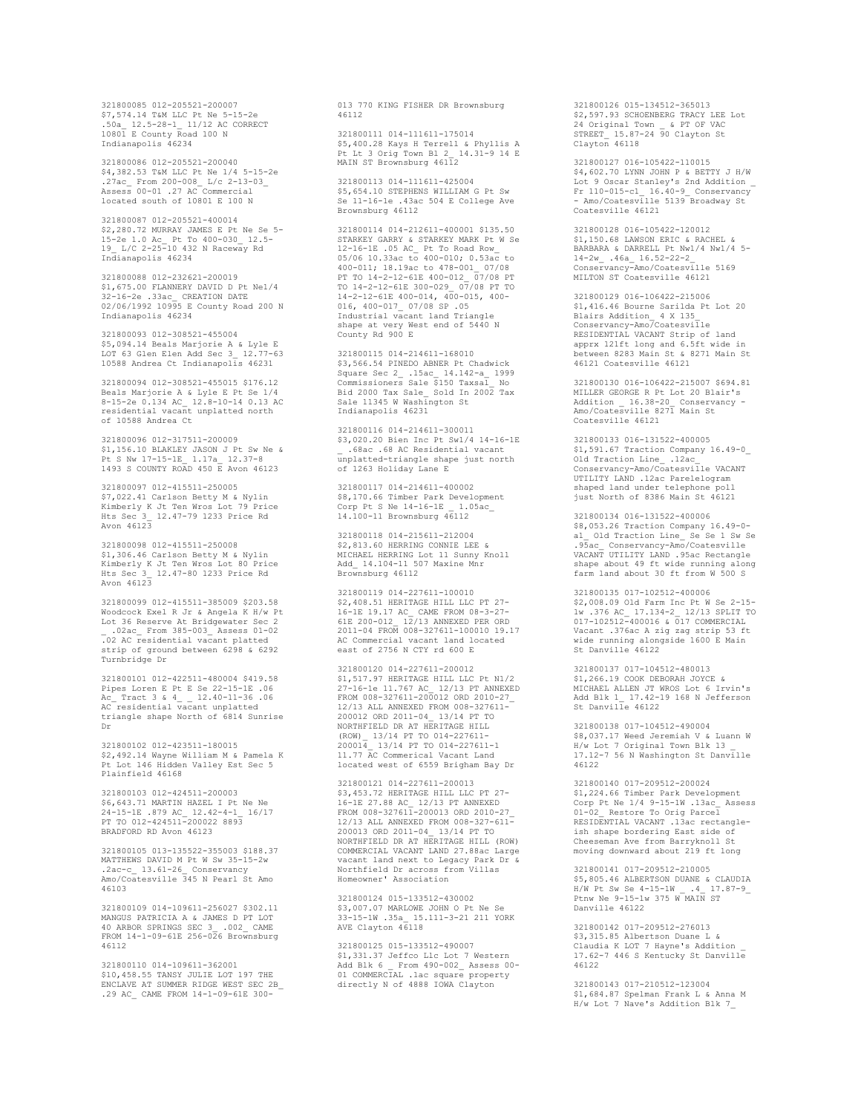321800085 012-205521-200007 \$7,574.14 T&M LLC Pt Ne 5-15-2e .50a\_ 12.5-28-1\_ 11/12 AC CORRECT 10801 E County Road 100 N Indianapolis 46234

321800086 012-205521-200040 \$4,382.53 T&M LLC Pt Ne 1/4 5-15-2e .27ac\_ From 200-008\_ L/c 2-13-03\_ Assess 00-01 .27 AC Commercial located south of 10801 E 100 N

321800087 012-205521-400014 \$2,280.72 MURRAY JAMES E Pt Ne Se 5- 15-2e 1.0 Ac\_ Pt To 400-030\_ 12.5- 19\_ L/C 2-25-10 432 N Raceway Rd Indianapolis 46234

321800088 012-232621-200019 \$1,675.00 FLANNERY DAVID D Pt Ne1/4 32-16-2e .33ac\_ CREATION DATE 02/06/1992 10995 E County Road 200 N Indianapolis 46234

321800093 012-308521-455004 \$5,094.14 Beals Marjorie A & Lyle E LOT 63 Glen Elen Add Sec 3\_ 12.77-63 10588 Andrea Ct Indianapolis 46231

321800094 012-308521-455015 \$176.12 Beals Marjorie A & Lyle E Pt Se 1/4 8-15-2e 0.134 AC\_ 12.8-10-14 0.13 AC residential vacant unplatted north of 10588 Andrea Ct

321800096 012-317511-200009 \$1,156.10 BLAKLEY JASON J Pt Sw Ne & Pt S Nw 17-15-1E\_ 1.17a\_ 12.37-8 1493 S COUNTY ROAD 450 E Avon 46123

321800097 012-415511-250005 \$7,022.41 Carlson Betty M & Nylin Kimberly K Jt Ten Wros Lot 79 Price Hts Sec 3\_ 12.47-79 1233 Price Rd Avon 46123

321800098 012-415511-250008 \$1,306.46 Carlson Betty M & Nylin Kimberly K Jt Ten Wros Lot 80 Price Hts Sec 3\_ 12.47-80 1233 Price Rd Avon 46123

321800099 012-415511-385009 \$203.58 Woodcock Exel R Jr & Angela K H/w Pt Lot 36 Reserve At Bridgewater Sec 2 \_ .02ac\_ From 385-003\_ Assess 01-02 .02 AC residential vacant platted strip of ground between 6298 & 6292 Turnbridge Dr

321800101 012-422511-480004 \$419.58 Pipes Loren E Pt E Se 22-15-1E .06 Ac\_ Tract 3 & 4\_ \_ 12.40-11-36 .06 AC residential vacant unplatted triangle shape North of 6814 Sunrise Dr

321800102 012-423511-180015 \$2,492.14 Wayne William M & Pamela K Pt Lot 146 Hidden Valley Est Sec 5 Plainfield 46168

321800103 012-424511-200003 \$6,643.71 MARTIN HAZEL I Pt Ne Ne 24-15-1E .879 AC\_ 12.42-4-1\_ 16/17 PT TO 012-424511-200022 8893 BRADFORD RD Avon 46123

321800105 013-135522-355003 \$188.37 MATTHEWS DAVID M Pt W Sw 35-15-2w .2ac-c\_ 13.61-26\_ Conservancy Amo/Coatesville 345 N Pearl St Amo 46103

321800109 014-109611-256027 \$302.11 MANGUS PATRICIA A & JAMES D PT LOT 40 ARBOR SPRINGS SEC 3\_ .002\_ CAME FROM 14-1-09-61E 256-026 Brownsburg 46112

321800110 014-109611-362001 \$10,458.55 TANSY JULIE LOT 197 THE ENCLAVE AT SUMMER RIDGE WEST SEC 2B\_ .29 AC\_ CAME FROM 14-1-09-61E 300013 770 KING FISHER DR Brownsburg 46112

321800111 014-111611-175014 \$5,400.28 Kays H Terrell & Phyllis A Pt Lt 3 Orig Town Bl 2\_ 14.31-9 14 E MAIN ST Brownsburg 46112

321800113 014-111611-425004 \$5,654.10 STEPHENS WILLIAM G Pt Sw Se 11-16-1e .43ac 504 E College Ave Brownsburg 46112

321800114 014-212611-400001 \$135.50 STARKEY GARRY & STARKEY MARK Pt W Se<br>12-16-1E .05 AC\_ Pt To Road Row\_<br>05/06 10.33ac to 400-010; 0.53ac to<br>400-011; 18.19ac to 478-001\_ 07/08<br>PT TO 14-2-12-61E 400-012\_ 07/08 PT TO 14-2-12-61E 300-029\_ 07/08 PT TO 14-2-12-61E 400-014, 400-015, 400- 016, 400-017\_ 07/08 SP .05 Industrial vacant land Triangle shape at very West end of 5440 N County Rd 900 E

321800115 014-214611-168010 \$3,566.54 PINEDO ABNER Pt Chadwick Square Sec 2\_ .15ac\_ 14.142-a\_ 1999 Commissioners Sale \$150 Taxsal\_ No Bid 2000 Tax Sale\_ Sold In 2002 Tax Sale 11345 W Washington St Indianapolis 46231

321800116 014-214611-300011 \$3,020.20 Bien Inc Pt Sw1/4 14-16-1E \_ .68ac .68 AC Residential vacant unplatted-triangle shape just north of 1263 Holiday Lane E

321800117 014-214611-400002 \$8,170.66 Timber Park Development Corp Pt S Ne 14-16-1E \_ 1.05ac\_ 14.100-11 Brownsburg 46112

321800118 014-215611-212004 \$2,813.60 HERRING CONNIE LEE & MICHAEL HERRING Lot 11 Sunny Knoll Add\_ 14.104-11 507 Maxine Mnr Brownsburg 46112

321800119 014-227611-100010 \$2,408.51 HERITAGE HILL LLC PT 27-16-1E 19.17 AC\_ CAME FROM 08-3-27- 61E 200-012\_ 12/13 ANNEXED PER ORD 2011-04 FROM 008-327611-100010 19.17 AC Commercial vacant land located east of 2756 N CTY rd 600 E

321800120 014-227611-200012 \$1,517.97 HERITAGE HILL LLC Pt N1/2 27-16-1e 11.767 AC\_ 12/13 PT ANNEXED FROM 008-327611-200012 ORD 2010-27\_ 12/13 ALL ANNEXED FROM 008-327611- 200012 ORD 2011-04\_ 13/14 PT TO NORTHFIELD DR AT HERITAGE HILL (ROW)\_ 13/14 PT TO 014-227611- 200014\_ 13/14 PT TO 014-227611-1 11.77 AC Commerical Vacant Land located west of 6559 Brigham Bay Dr

321800121 014-227611-200013 \$3,453.72 HERITAGE HILL LLC PT 27- 16-1E 27.88 AC\_ 12/13 PT ANNEXED FROM 008-327611-200013 ORD 2010-27\_ 12/13 ALL ANNEXED FROM 008-327-611- 200013 ORD 2011-04\_ 13/14 PT TO NORTHFIELD DR AT HERITAGE HILL (ROW) COMMERCIAL VACANT LAND 27.88ac Large vacant land next to Legacy Park Dr Northfield Dr across from Villas Homeowner' Association

321800124 015-133512-430002 \$3,007.07 MARLOWE JOHN O Pt Ne Se 33-15-1W .35a\_ 15.111-3-21 211 YORK AVE Clayton 46118

321800125 015-133512-490007 \$1,331.37 Jeffco Llc Lot 7 Western Add Blk 6 \_ From 490-002\_ Assess 00- 01 COMMERCIAL .1ac square property directly N of 4888 IOWA Clayton

321800126 015-134512-365013 \$2,597.93 SCHOENBERG TRACY LEE Lot 24 Original Town \_ & PT OF VAC STREET\_ 15.87-24 90 Clayton St Clayton 46118

321800127 016-105422-110015 \$4,602.70 LYNN JOHN P & BETTY J H/W Lot 9 Oscar Stanley's 2nd Addition \_ Fr 110-015-c1\_ 16.40-9\_ Conservancy - Amo/Coatesville 5139 Broadway St Coatesville 46121

321800128 016-105422-120012 \$1,150.68 LAWSON ERIC & RACHEL & BARBARA & DARRELL Pt Nw1/4 Nw1/4 5- 14-2w\_ .46a\_ 16.52-22-2\_ Conservancy-Amo/Coatesville 5169 MILTON ST Coatesville 46121

321800129 016-106422-215006 \$1,416.46 Bourne Sarilda Pt Lot 20<br>Blairs Addition\_ 4 X 135\_<br>Conservancy-Amo/Coatesville<br>RESIDENTIAL VACANT Strip of land apprx 121ft long and 6.5ft wide in between 8283 Main St & 8271 Main St 46121 Coatesville 46121

321800130 016-106422-215007 \$694.81 MILLER GEORGE R Pt Lot 20 Blair's Addition \_ 16.38-20\_ Conservancy - Amo/Coatesville 8271 Main St Coatesville 46121

321800133 016-131522-400005 \$1,591.67 Traction Company 16.49-0\_ Old Traction Line\_ .12ac\_ Conservancy-Amo/Coatesville VACANT UTILITY LAND .12ac Parelelogram shaped land under telephone poll just North of 8386 Main St 46121

321800134 016-131522-400006 \$8,053.26 Traction Company 16.49-0- a1\_ Old Traction Line\_ Se Se 1 Sw Se .95ac\_ Conservancy-Amo/Coatesville VACANT UTILITY LAND .95ac Rectangle shape about 49 ft wide running along farm land about 30 ft from W 500 S

321800135 017-102512-400006 \$2,008.09 Old Farm Inc Pt W Se 2-15- 1w .376 AC\_ 17.134-2\_ 12/13 SPLIT TO 017-102512-400016 & 017 COMMERCIAL Vacant .376ac A zig zag strip 53 ft wide running alongside 1600 E Main St Danville 46122

321800137 017-104512-480013 \$1,266.19 COOK DEBORAH JOYCE & MICHAEL ALLEN JT WROS Lot 6 Irvin's Add Blk 1\_ 17.42-19 168 N Jefferson St Danville 46122

321800138 017-104512-490004 \$8,037.17 Weed Jeremiah V & Luann W H/w Lot 7 Original Town Blk 13 \_ 17.12-7 56 N Washington St Danville 46122

321800140 017-209512-200024 \$1,224.66 Timber Park Development Corp Pt Ne 1/4 9-15-1W .13ac\_ Assess 01-02\_ Restore To Orig Parcel RESIDENTIAL VACANT .13ac rectangleish shape bordering East side of Cheeseman Ave from Barryknoll St moving downward about 219 ft long

321800141 017-209512-210005 \$5,805.46 ALBERTSON DUANE & CLAUDIA<br>H/W Pt Sw Se 4-15-1W \_ .4\_ 17.87-9\_ H/W Pt Sw Se 4-15-1W \_ .4\_ 17.87-9\_ Ptnw Ne 9-15-1w 375 W MAIN ST Danville 46122

321800142 017-209512-276013 \$3,315.85 Albertson Duane L & Claudia K LOT 7 Hayne's Addition \_ 17.62-7 446 S Kentucky St Danville  $46122$ 

321800143 017-210512-123004 \$1,684.87 Spelman Frank L & Anna M H/w Lot 7 Nave's Addition Blk 7\_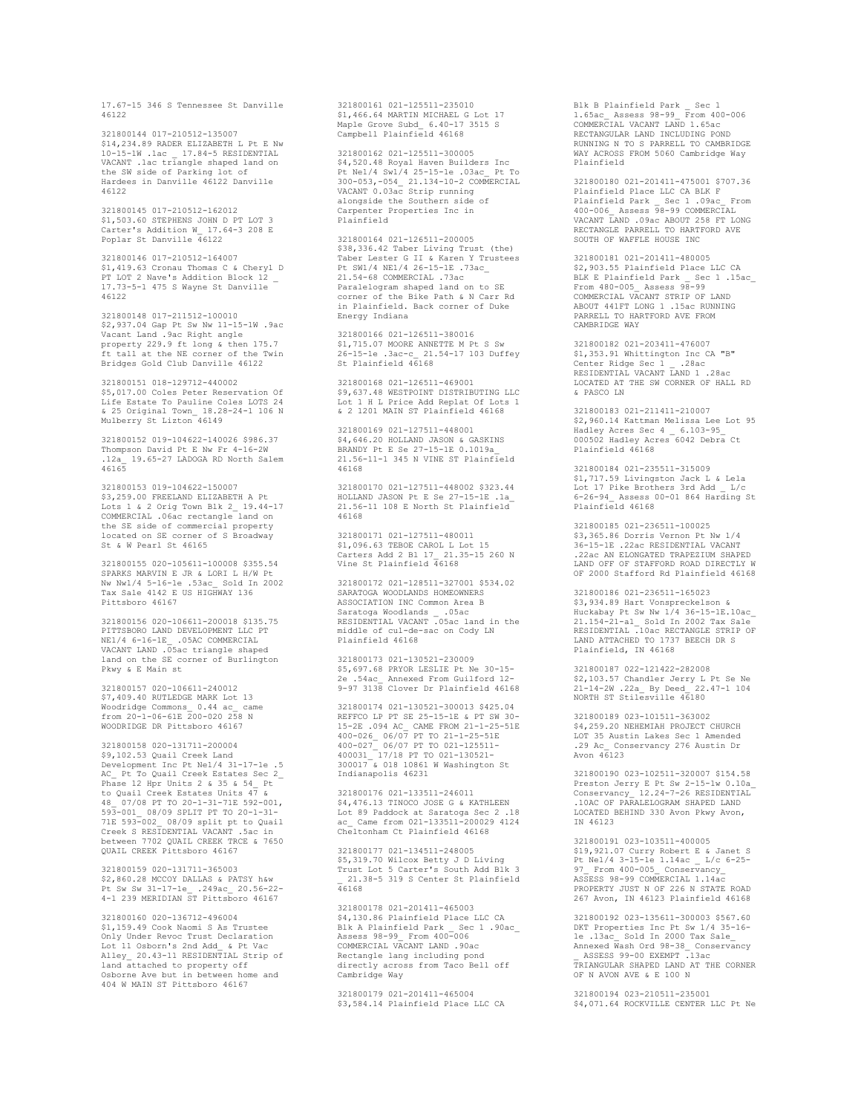17.67-15 346 S Tennessee St Danville 46122

321800144 017-210512-135007 \$14,234.89 RADER ELIZABETH L Pt E Nw 10-15-1W .1ac \_ 17.84-5 RESIDENTIAL VACANT .1ac triangle shaped land on the SW side of Parking lot of Hardees in Danville 46122 Danville 46122

321800145 017-210512-162012 \$1,503.60 STEPHENS JOHN D PT LOT 3 Carter's Addition W\_ 17.64-3 208 E Poplar St Danville 46122

321800146 017-210512-164007 \$1,419.63 Cronau Thomas C & Cheryl D PT LOT 2 Nave's Addition Block 12 \_ 17.73-5-1 475 S Wayne St Danville 46122

321800148 017-211512-100010 \$2,937.04 Gap Pt Sw Nw 11-15-1W .9ac Vacant Land .9ac Right angle property 229.9 ft long & then 175.7 ft tall at the NE corner of the Twin Bridges Gold Club Danville 46122

321800151 018-129712-440002 \$5,017.00 Coles Peter Reservation Of Life Estate To Pauline Coles LOTS 24 & 25 Original Town\_ 18.28-24-1 106 N Mulberry St Lizton 46149

321800152 019-104622-140026 \$986.37 Thompson David Pt E Nw Fr 4-16-2W .12a\_ 19.65-27 LADOGA RD North Salem 46165

321800153 019-104622-150007 \$3,259.00 FREELAND ELIZABETH A Pt Lots 1 & 2 Orig Town Blk 2\_ 19.44-17 COMMERCIAL .06ac rectangle land on the SE side of commercial property located on SE corner of S Broadway St & W Pearl St 46165

321800155 020-105611-100008 \$355.54 SPARKS MARVIN E JR & LORI L H/W Pt Nw Nw1/4 5-16-1e .53ac\_ Sold In 2002 Tax Sale 4142 E US HIGHWAY 136 Pittsboro 46167

321800156 020-106611-200018 \$135.75 PITTSBORO LAND DEVELOPMENT LLC PT NE1/4 6-16-1E\_ .05AC COMMERCIAL VACANT LAND .05ac triangle shaped land on the SE corner of Burlington Pkwy & E Main st

321800157 020-106611-240012 \$7,409.40 RUTLEDGE MARK Lot 13 Woodridge Commons\_ 0.44 ac\_ came from 20-1-06-61E 200-020 258 N WOODRIDGE DR Pittsboro 46167

321800158 020-131711-200004 \$9,102.53 Quail Creek Land Development Inc Pt Ne1/4 31-17-1e .5 AC\_ Pt To Quail Creek Estates Sec 2\_ Phase 12 Hpr Units 2 & 35 & 54\_ Pt to Quail Creek Estates Units 47 & 48\_ 07/08 PT TO 20-1-31-71E 592-001, 593-001\_ 08/09 SPLIT PT TO 20-1-31- 71E 593-002\_ 08/09 split pt to Quail Creek S RESIDENTIAL VACANT .5ac in between 7702 QUAIL CREEK TRCE & 7650 QUAIL CREEK Pittsboro 46167

321800159 020-131711-365003 \$2,860.28 MCCOY DALLAS & PATSY h&w Pt Sw Sw 31-17-1e\_ .249ac\_ 20.56-22- 4-1 239 MERIDIAN ST Pittsboro 46167

321800160 020-136712-496004 \$1,159.49 Cook Naomi S As Trustee Only Under Revoc Trust Declaration Lot 11 Osborn's 2nd Add\_ & Pt Vac Alley\_ 20.43-11 RESIDENTIAL Strip of land attached to property off Osborne Ave but in between home and 404 W MAIN ST Pittsboro 46167

321800161 021-125511-235010 \$1,466.64 MARTIN MICHAEL G Lot 17 Maple Grove Subd\_ 6.40-17 3515 S Campbell Plainfield 46168

321800162 021-125511-300005 \$4,520.48 Royal Haven Builders Inc Pt Ne1/4 Sw1/4 25-15-1e .03ac\_ Pt To 300-053,-054\_ 21.134-10-2 COMMERCIAL VACANT 0.03ac Strip running alongside the Southern side of Carpenter Properties Inc in Plainfield

321800164 021-126511-200005 \$38,336.42 Taber Living Trust (the) Taber Lester G II & Karen Y Trustees Pt SW1/4 NE1/4 26-15-1E .73ac\_ 21.54-68 COMMERCIAL .73ac Paralelogram shaped land on to SE corner of the Bike Path & N Carr Rd in Plainfield. Back corner of Duke Energy Indiana

321800166 021-126511-380016 \$1,715.07 MOORE ANNETTE M Pt S Sw 26-15-1e .3ac-c\_ 21.54-17 103 Duffey St Plainfield 46168

321800168 021-126511-469001 \$9,637.48 WESTPOINT DISTRIBUTING LLC Lot 1 H L Price Add Replat Of Lots 1 & 2 1201 MAIN ST Plainfield 46168

321800169 021-127511-448001 \$4,646.20 HOLLAND JASON & GASKINS BRANDY Pt E Se 27-15-1E 0.1019a\_ 21.56-11-1 345 N VINE ST Plainfield 46168

321800170 021-127511-448002 \$323.44 HOLLAND JASON Pt E Se 27-15-1E .1a\_ 21.56-11 108 E North St Plainfield 46168

321800171 021-127511-480011 \$1,096.63 TEBOE CAROL L Lot 15 Carters Add 2 Bl 17\_ 21.35-15 260 N Vine St Plainfield 46168

321800172 021-128511-327001 \$534.02 SARATOGA WOODLANDS HOMEOWNERS ASSOCIATION INC Common Area B Saratoga Woodlands \_ .05ac RESIDENTIAL VACANT .05ac land in the middle of cul-de-sac on Cody LN Plainfield 46168

321800173 021-130521-230009 \$5,697.68 PRYOR LESLIE Pt Ne 30-15- 2e .54ac\_ Annexed From Guilford 12- 9-97 3138 Clover Dr Plainfield 46168

321800174 021-130521-300013 \$425.04 REFFCO LP PT SE 25-15-1E & PT SW 30- 15-2E .094 AC\_ CAME FROM 21-1-25-51E<br>400-026\_ 06/07 PT TO 21-1-25-51E<br>400031\_ 17/18 PT TO 021-125511-<br>400031\_ 17/18 PT TO 021-130521-<br>300017 & 018 10861 W Washington St Indianapolis 46231

321800176 021-133511-246011 \$4,476.13 TINOCO JOSE G & KATHLEEN Lot 89 Paddock at Saratoga Sec 2 .18 ac\_ Came from 021-133511-200029 4124 Cheltonham Ct Plainfield 46168

321800177 021-134511-248005 \$5,319.70 Wilcox Betty J D Living Trust Lot 5 Carter's South Add Blk 3 \_ 21.38-5 319 S Center St Plainfield  $76168$ 

321800178 021-201411-465003 \$4,130.86 Plainfield Place LLC CA Blk A Plainfield Park \_ Sec 1 .90ac\_ Assess 98-99\_ From 400-006 COMMERCIAL VACANT LAND .90ac Rectangle lang including pond directly across from Taco Bell off Cambridge Way

321800179 021-201411-465004 \$3,584.14 Plainfield Place LLC CA

Blk B Plainfield Park \_ Sec 1 1.65ac\_ Assess 98-99\_ From 400-006 COMMERCIAL VACANT LAND 1.65ac RECTANGULAR LAND INCLUDING POND RUNNING N TO S PARRELL TO CAMBRIDGE WAY ACROSS FROM 5060 Cambridge Way Plainfield

321800180 021-201411-475001 \$707.36 Plainfield Place LLC CA BLK F Plainfield Park \_ Sec 1 .09ac\_ From 400-006\_ Assess 98-99 COMMERCIAL VACANT LAND .09ac ABOUT 258 FT LONG RECTANGLE PARRELL TO HARTFORD AVE SOUTH OF WAFFLE HOUSE INC.

321800181 021-201411-480005 \$2,903.55 Plainfield Place LLC CA BLK E Plainfield Park \_ Sec 1 .15ac\_ From 480-005\_ Assess 98-99 COMMERCIAL VACANT STRIP OF LAND ABOUT 441FT LONG 1 .15ac RUNNING PARRELL TO HARTFORD AVE FROM CAMBRIDGE WAY

321800182 021-203411-476007 \$1,353.91 Whittington Inc CA "B" Center Ridge Sec 1 \_ .28ac RESIDENTIAL VACANT LAND 1 .28ac LOCATED AT THE SW CORNER OF HALL RD & PASCO LN

321800183 021-211411-210007 \$2,960.14 Kattman Melissa Lee Lot 95 Hadley Acres Sec 4 \_ 6.103-95\_ 000502 Hadley Acres 6042 Debra Ct Plainfield 46168

321800184 021-235511-315009 \$1,717.59 Livingston Jack L & Lela Lot 17 Pike Brothers 3rd Add \_ L/c 6-26-94\_ Assess 00-01 864 Harding St Plainfield 46168

321800185 021-236511-100025 \$3,365.86 Dorris Vernon Pt Nw 1/4 36-15-1E .22ac RESIDENTIAL VACANT .22ac AN ELONGATED TRAPEZIUM SHAPED LAND OFF OF STAFFORD ROAD DIRECTLY W OF 2000 Stafford Rd Plainfield 46168

321800186 021-236511-165023 \$3,934.89 Hart Vonspreckelson & Huckabay Pt Sw Nw 1/4 36-15-1E.10ac\_ 21.154-21-a1\_ Sold In 2002 Tax Sale RESIDENTIAL .10ac RECTANGLE STRIP OF LAND ATTACHED TO 1737 BEECH DR S Plainfield, IN 46168

321800187 022-121422-282008 \$2,103.57 Chandler Jerry L Pt Se Ne 21-14-2W .22a\_ By Deed\_ 22.47-1 104 NORTH ST Stilesville 46180

321800189 023-101511-363002 \$4,259.20 NEHEMIAH PROJECT CHURCH LOT 35 Austin Lakes Sec 1 Amended .29 Ac\_ Conservancy 276 Austin Dr Avon 46123

321800190 023-102511-320007 \$154.58 Preston Jerry E Pt Sw 2-15-1w 0.10a<br>Conservancy 12.24-7-26 RESIDENTIAL Conservancy\_ 12.24-7-26 RESIDENTIAL .10AC OF PARALELOGRAM SHAPED LAND LOCATED BEHIND 330 Avon Pkwy Avon, IN 46123

321800191 023-103511-400005 \$19,921.07 Curry Robert E & Janet S Pt Ne1/4 3-15-1e 1.14ac \_ L/c 6-25- 97\_ From 400-005\_ Conservancy\_ ASSESS 98-99 COMMERCIAL 1.14ac PROPERTY JUST N OF 226 N STATE ROAD 267 Avon, IN 46123 Plainfield 46168

321800192 023-135611-300003 \$567.60 DKT Properties Inc Pt Sw 1/4 35-16- 1e .13ac\_ Sold In 2000 Tax Sale\_ Annexed Wash Ord 98-38\_ Conservancy \_ ASSESS 99-00 EXEMPT .13ac TRIANGULAR SHAPED LAND AT THE CORNER OF N AVON AVE & E 100 N

321800194 023-210511-235001 \$4,071.64 ROCKVILLE CENTER LLC Pt Ne